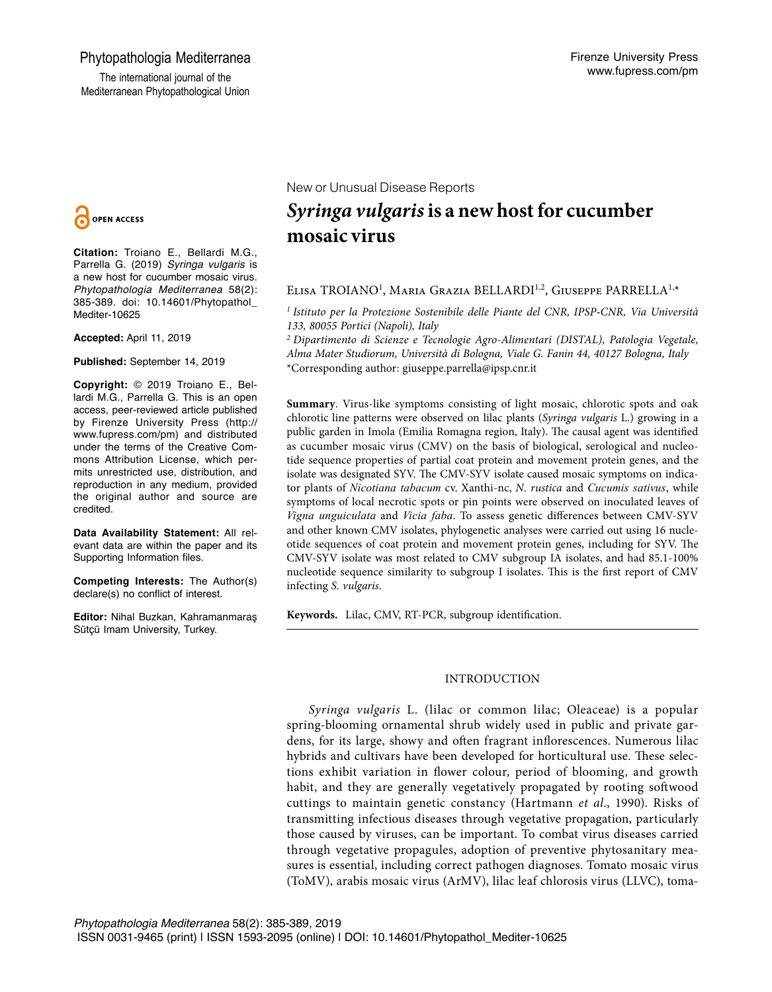# Phytopathologia Mediterranea

The international journal of the Mediterranean Phytopathological Union



**Citation:** Troiano E., Bellardi M.G., Parrella G. (2019) *Syringa vulgaris* is a new host for cucumber mosaic virus. *Phytopathologia Mediterranea* 58(2): 385-389. doi: 10.14601/Phytopathol\_ Mediter-10625

**Accepted:** April 11, 2019

**Published:** September 14, 2019

**Copyright:** © 2019 Troiano E., Bellardi M.G., Parrella G. This is an open access, peer-reviewed article published by Firenze University Press (http:// www.fupress.com/pm) and distributed under the terms of the Creative Commons Attribution License, which permits unrestricted use, distribution, and reproduction in any medium, provided the original author and source are credited.

**Data Availability Statement:** All relevant data are within the paper and its Supporting Information files.

**Competing Interests:** The Author(s) declare(s) no conflict of interest.

**Editor:** Nihal Buzkan, Kahramanmaraş Sütçü Imam University, Turkey.

New or Unusual Disease Reports

# *Syringa vulgaris* **is a new host for cucumber mosaic virus**

## Elisa TROIANO<sup>1</sup>, Maria Grazia BELLARDI<sup>1,2</sup>, Giuseppe PARRELLA<sup>1,</sup>\*

*1 Istituto per la Protezione Sostenibile delle Piante del CNR, IPSP-CNR, Via Università 133, 80055 Portici (Napoli), Italy*

*2 Dipartimento di Scienze e Tecnologie Agro-Alimentari (DISTAL), Patologia Vegetale, Alma Mater Studiorum, Università di Bologna, Viale G. Fanin 44, 40127 Bologna, Italy* \*Corresponding author: giuseppe.parrella@ipsp.cnr.it

**Summary**. Virus-like symptoms consisting of light mosaic, chlorotic spots and oak chlorotic line patterns were observed on lilac plants (*Syringa vulgaris* L.) growing in a public garden in Imola (Emilia Romagna region, Italy). The causal agent was identified as cucumber mosaic virus (CMV) on the basis of biological, serological and nucleotide sequence properties of partial coat protein and movement protein genes, and the isolate was designated SYV. The CMV-SYV isolate caused mosaic symptoms on indicator plants of *Nicotiana tabacum* cv. Xanthi-nc, *N. rustica* and *Cucumis sativus*, while symptoms of local necrotic spots or pin points were observed on inoculated leaves of *Vigna unguiculata* and *Vicia faba*. To assess genetic differences between CMV-SYV and other known CMV isolates, phylogenetic analyses were carried out using 16 nucleotide sequences of coat protein and movement protein genes, including for SYV. The CMV-SYV isolate was most related to CMV subgroup IA isolates, and had 85.1-100% nucleotide sequence similarity to subgroup I isolates. This is the first report of CMV infecting *S. vulgaris*.

**Keywords.** Lilac, CMV, RT-PCR, subgroup identification.

## INTRODUCTION

*Syringa vulgaris* L. (lilac or common lilac; Oleaceae) is a popular spring-blooming ornamental shrub widely used in public and private gardens, for its large, showy and often fragrant inflorescences. Numerous lilac hybrids and cultivars have been developed for horticultural use. These selections exhibit variation in flower colour, period of blooming, and growth habit, and they are generally vegetatively propagated by rooting softwood cuttings to maintain genetic constancy (Hartmann *et al*., 1990). Risks of transmitting infectious diseases through vegetative propagation, particularly those caused by viruses, can be important. To combat virus diseases carried through vegetative propagules, adoption of preventive phytosanitary measures is essential, including correct pathogen diagnoses. Tomato mosaic virus (ToMV), arabis mosaic virus (ArMV), lilac leaf chlorosis virus (LLVC), toma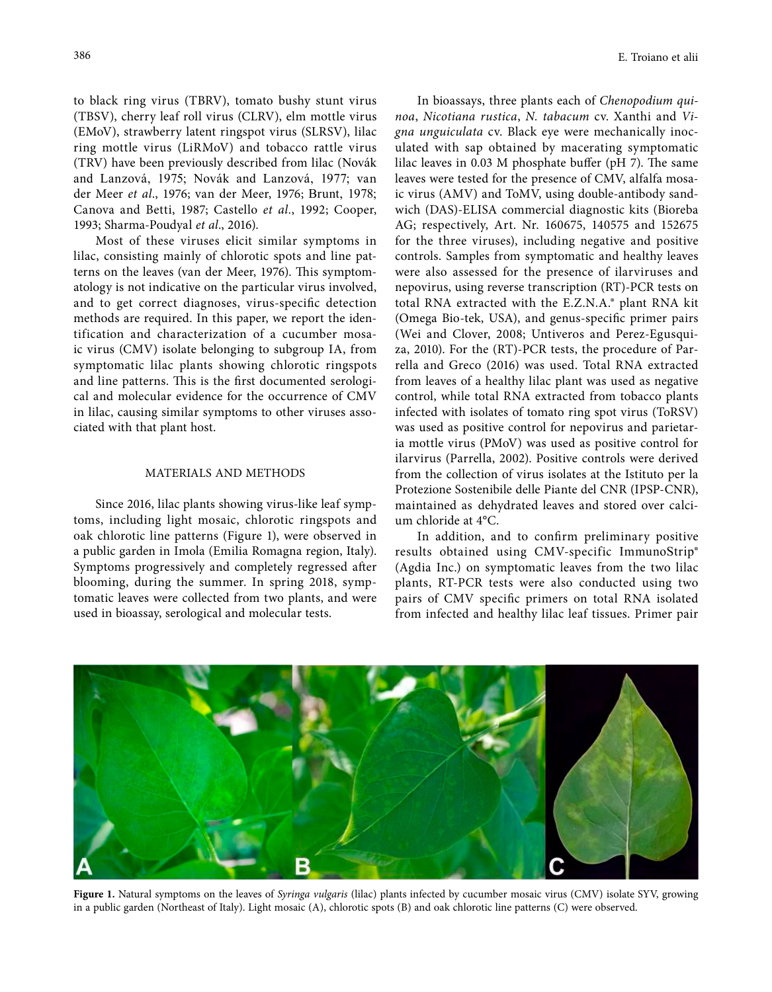to black ring virus (TBRV), tomato bushy stunt virus (TBSV), cherry leaf roll virus (CLRV), elm mottle virus (EMoV), strawberry latent ringspot virus (SLRSV), lilac ring mottle virus (LiRMoV) and tobacco rattle virus (TRV) have been previously described from lilac (Novák and Lanzová, 1975; Novák and Lanzová, 1977; van der Meer *et al*., 1976; van der Meer, 1976; Brunt, 1978; Canova and Betti, 1987; Castello *et al.*, 1992; Cooper, 1993; Sharma-Poudyal *et al*., 2016).

Most of these viruses elicit similar symptoms in lilac, consisting mainly of chlorotic spots and line patterns on the leaves (van der Meer, 1976). This symptomatology is not indicative on the particular virus involved, and to get correct diagnoses, virus-specific detection methods are required. In this paper, we report the identification and characterization of a cucumber mosaic virus (CMV) isolate belonging to subgroup IA, from symptomatic lilac plants showing chlorotic ringspots and line patterns. This is the first documented serological and molecular evidence for the occurrence of CMV in lilac, causing similar symptoms to other viruses associated with that plant host.

#### MATERIALS AND METHODS

Since 2016, lilac plants showing virus-like leaf symptoms, including light mosaic, chlorotic ringspots and oak chlorotic line patterns (Figure 1), were observed in a public garden in Imola (Emilia Romagna region, Italy). Symptoms progressively and completely regressed after blooming, during the summer. In spring 2018, symptomatic leaves were collected from two plants, and were used in bioassay, serological and molecular tests.

In bioassays, three plants each of *Chenopodium quinoa*, *Nicotiana rustica*, *N. tabacum* cv. Xanthi and *Vigna unguiculata* cv. Black eye were mechanically inoculated with sap obtained by macerating symptomatic lilac leaves in 0.03 M phosphate buffer (pH 7). The same leaves were tested for the presence of CMV, alfalfa mosaic virus (AMV) and ToMV, using double-antibody sandwich (DAS)-ELISA commercial diagnostic kits (Bioreba AG; respectively, Art. Nr. 160675, 140575 and 152675 for the three viruses), including negative and positive controls. Samples from symptomatic and healthy leaves were also assessed for the presence of ilarviruses and nepovirus, using reverse transcription (RT)-PCR tests on total RNA extracted with the E.Z.N.A.® plant RNA kit (Omega Bio-tek, USA), and genus-specific primer pairs (Wei and Clover, 2008; Untiveros and Perez-Egusquiza, 2010). For the (RT)-PCR tests, the procedure of Parrella and Greco (2016) was used. Total RNA extracted from leaves of a healthy lilac plant was used as negative control, while total RNA extracted from tobacco plants infected with isolates of tomato ring spot virus (ToRSV) was used as positive control for nepovirus and parietaria mottle virus (PMoV) was used as positive control for ilarvirus (Parrella, 2002). Positive controls were derived from the collection of virus isolates at the Istituto per la Protezione Sostenibile delle Piante del CNR (IPSP-CNR), maintained as dehydrated leaves and stored over calcium chloride at 4°C.

In addition, and to confirm preliminary positive results obtained using CMV-specific ImmunoStrip® (Agdia Inc.) on symptomatic leaves from the two lilac plants, RT-PCR tests were also conducted using two pairs of CMV specific primers on total RNA isolated from infected and healthy lilac leaf tissues. Primer pair



**Figure 1.** Natural symptoms on the leaves of *Syringa vulgaris* (lilac) plants infected by cucumber mosaic virus (CMV) isolate SYV, growing in a public garden (Northeast of Italy). Light mosaic (A), chlorotic spots (B) and oak chlorotic line patterns (C) were observed.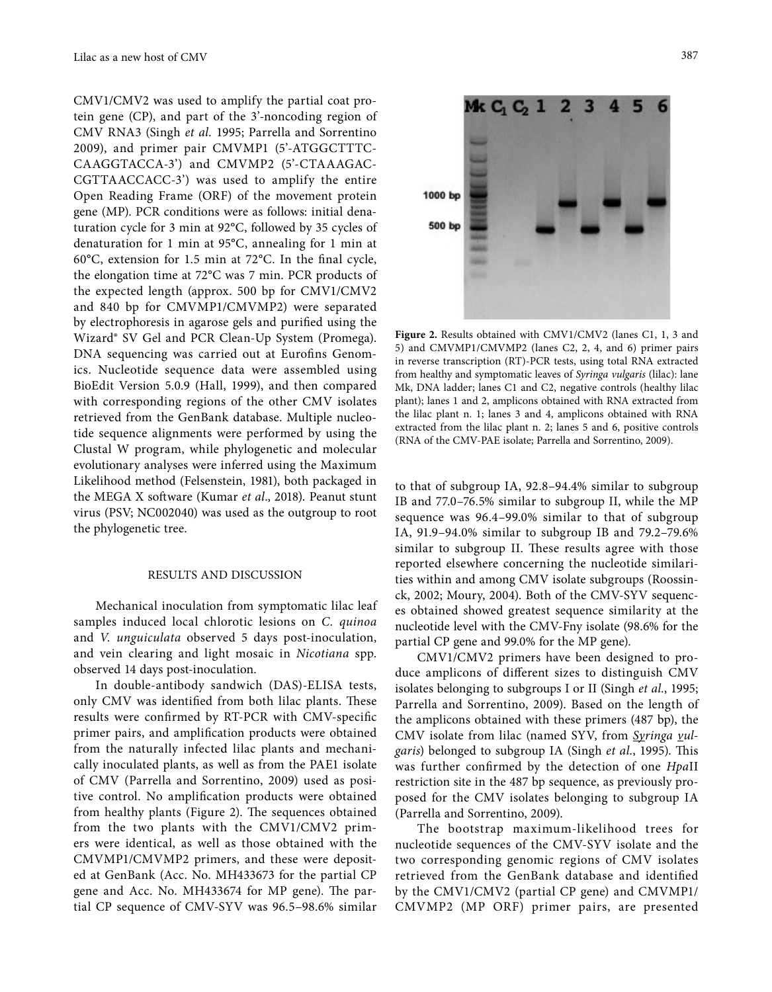CMV1/CMV2 was used to amplify the partial coat protein gene (CP), and part of the 3'-noncoding region of CMV RNA3 (Singh *et al.* 1995; Parrella and Sorrentino 2009), and primer pair CMVMP1 (5'-ATGGCTTTC-CAAGGTACCA-3') and CMVMP2 (5'-CTAAAGAC-CGTTAACCACC-3') was used to amplify the entire Open Reading Frame (ORF) of the movement protein gene (MP). PCR conditions were as follows: initial denaturation cycle for 3 min at 92°C, followed by 35 cycles of denaturation for 1 min at 95**°**C, annealing for 1 min at 60**°**C, extension for 1.5 min at 72**°**C. In the final cycle, the elongation time at 72**°**C was 7 min. PCR products of the expected length (approx. 500 bp for CMV1/CMV2 and 840 bp for CMVMP1/CMVMP2) were separated by electrophoresis in agarose gels and purified using the Wizard® SV Gel and PCR Clean-Up System (Promega). DNA sequencing was carried out at Eurofins Genomics. Nucleotide sequence data were assembled using BioEdit Version 5.0.9 (Hall, 1999), and then compared with corresponding regions of the other CMV isolates retrieved from the GenBank database. Multiple nucleotide sequence alignments were performed by using the Clustal W program, while phylogenetic and molecular evolutionary analyses were inferred using the Maximum Likelihood method (Felsenstein, 1981), both packaged in the MEGA X software (Kumar *et al*., 2018). Peanut stunt virus (PSV; NC002040) was used as the outgroup to root the phylogenetic tree.

#### RESULTS AND DISCUSSION

Mechanical inoculation from symptomatic lilac leaf samples induced local chlorotic lesions on *C. quinoa* and *V. unguiculata* observed 5 days post-inoculation, and vein clearing and light mosaic in *Nicotiana* spp. observed 14 days post-inoculation.

In double-antibody sandwich (DAS)-ELISA tests, only CMV was identified from both lilac plants. These results were confirmed by RT-PCR with CMV-specific primer pairs, and amplification products were obtained from the naturally infected lilac plants and mechanically inoculated plants, as well as from the PAE1 isolate of CMV (Parrella and Sorrentino, 2009) used as positive control. No amplification products were obtained from healthy plants (Figure 2). The sequences obtained from the two plants with the CMV1/CMV2 primers were identical, as well as those obtained with the CMVMP1/CMVMP2 primers, and these were deposited at GenBank (Acc. No. MH433673 for the partial CP gene and Acc. No. MH433674 for MP gene). The partial CP sequence of CMV-SYV was 96.5–98.6% similar

M<sub>K</sub>C<sub>1</sub> 1000 bp 500 bp

Figure 2. Results obtained with CMV1/CMV2 (lanes C1, 1, 3 and 5) and CMVMP1/CMVMP2 (lanes C2, 2, 4, and 6) primer pairs in reverse transcription (RT)-PCR tests, using total RNA extracted from healthy and symptomatic leaves of *Syringa vulgaris* (lilac): lane Mk, DNA ladder; lanes C1 and C2, negative controls (healthy lilac plant); lanes 1 and 2, amplicons obtained with RNA extracted from the lilac plant n. 1; lanes 3 and 4, amplicons obtained with RNA extracted from the lilac plant n. 2; lanes 5 and 6, positive controls (RNA of the CMV-PAE isolate; Parrella and Sorrentino, 2009).

to that of subgroup IA, 92.8–94.4% similar to subgroup IB and 77.0–76.5% similar to subgroup II, while the MP sequence was 96.4–99.0% similar to that of subgroup IA, 91.9–94.0% similar to subgroup IB and 79.2–79.6% similar to subgroup II. These results agree with those reported elsewhere concerning the nucleotide similarities within and among CMV isolate subgroups (Roossinck, 2002; Moury, 2004). Both of the CMV-SYV sequences obtained showed greatest sequence similarity at the nucleotide level with the CMV-Fny isolate (98.6% for the partial CP gene and 99.0% for the MP gene).

CMV1/CMV2 primers have been designed to produce amplicons of different sizes to distinguish CMV isolates belonging to subgroups I or II (Singh *et al.*, 1995; Parrella and Sorrentino, 2009). Based on the length of the amplicons obtained with these primers (487 bp), the CMV isolate from lilac (named SYV, from *Syringa vulgaris*) belonged to subgroup IA (Singh *et al.*, 1995). This was further confirmed by the detection of one *Hpa*II restriction site in the 487 bp sequence, as previously proposed for the CMV isolates belonging to subgroup IA (Parrella and Sorrentino, 2009).

The bootstrap maximum-likelihood trees for nucleotide sequences of the CMV-SYV isolate and the two corresponding genomic regions of CMV isolates retrieved from the GenBank database and identified by the CMV1/CMV2 (partial CP gene) and CMVMP1/ CMVMP2 (MP ORF) primer pairs, are presented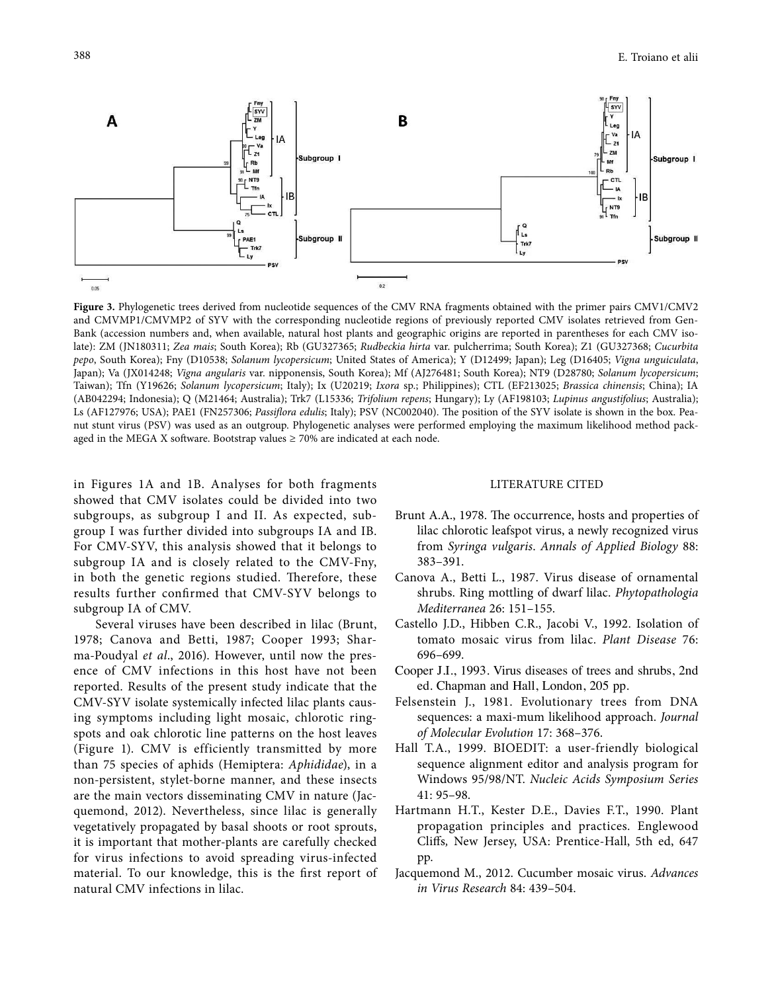

**Figure 3.** Phylogenetic trees derived from nucleotide sequences of the CMV RNA fragments obtained with the primer pairs CMV1/CMV2 and CMVMP1/CMVMP2 of SYV with the corresponding nucleotide regions of previously reported CMV isolates retrieved from Gen-Bank (accession numbers and, when available, natural host plants and geographic origins are reported in parentheses for each CMV isolate): ZM (JN180311; *Zea mais*; South Korea); Rb (GU327365; *Rudbeckia hirta* var. pulcherrima; South Korea); Z1 (GU327368; *Cucurbita pepo*, South Korea); Fny (D10538; *Solanum lycopersicum*; United States of America); Y (D12499; Japan); Leg (D16405; *Vigna unguiculata*, Japan); Va (JX014248; *Vigna angularis* var. nipponensis, South Korea); Mf (AJ276481; South Korea); NT9 (D28780; *Solanum lycopersicum*; Taiwan); Tfn (Y19626; *Solanum lycopersicum*; Italy); Ix (U20219; *Ixora* sp.; Philippines); CTL (EF213025; *Brassica chinensis*; China); IA (AB042294; Indonesia); Q (M21464; Australia); Trk7 (L15336; *Trifolium repens*; Hungary); Ly (AF198103; *Lupinus angustifolius*; Australia); Ls (AF127976; USA); PAE1 (FN257306; *Passiflora edulis*; Italy); PSV (NC002040). The position of the SYV isolate is shown in the box. Peanut stunt virus (PSV) was used as an outgroup. Phylogenetic analyses were performed employing the maximum likelihood method packaged in the MEGA X software. Bootstrap values  $\geq 70\%$  are indicated at each node.

in Figures 1A and 1B. Analyses for both fragments showed that CMV isolates could be divided into two subgroups, as subgroup I and II. As expected, subgroup I was further divided into subgroups IA and IB. For CMV-SYV, this analysis showed that it belongs to subgroup IA and is closely related to the CMV-Fny, in both the genetic regions studied. Therefore, these results further confirmed that CMV-SYV belongs to subgroup IA of CMV.

Several viruses have been described in lilac (Brunt, 1978; Canova and Betti, 1987; Cooper 1993; Sharma-Poudyal *et al*., 2016). However, until now the presence of CMV infections in this host have not been reported. Results of the present study indicate that the CMV-SYV isolate systemically infected lilac plants causing symptoms including light mosaic, chlorotic ringspots and oak chlorotic line patterns on the host leaves (Figure 1). CMV is efficiently transmitted by more than 75 species of aphids (Hemiptera: *Aphididae*), in a non-persistent, stylet-borne manner, and these insects are the main vectors disseminating CMV in nature (Jacquemond, 2012). Nevertheless, since lilac is generally vegetatively propagated by basal shoots or root sprouts, it is important that mother-plants are carefully checked for virus infections to avoid spreading virus-infected material. To our knowledge, this is the first report of natural CMV infections in lilac.

### LITERATURE CITED

- Brunt A.A., 1978. The occurrence, hosts and properties of lilac chlorotic leafspot virus, a newly recognized virus from *Syringa vulgaris*. *Annals of Applied Biology* 88: 383–391.
- Canova A., Betti L., 1987. Virus disease of ornamental shrubs. Ring mottling of dwarf lilac. *Phytopathologia Mediterranea* 26: 151–155.
- Castello J.D., Hibben C.R., Jacobi V., 1992. Isolation of tomato mosaic virus from lilac. *Plant Disease* 76: 696–699.
- Cooper J.I., 1993. Virus diseases of trees and shrubs, 2nd ed. Chapman and Hall, London, 205 pp.
- Felsenstein J., 1981. Evolutionary trees from DNA sequences: a maxi-mum likelihood approach. *Journal of Molecular Evolution* 17: 368–376.
- Hall T.A., 1999. BIOEDIT: a user-friendly biological sequence alignment editor and analysis program for Windows 95/98/NT. *Nucleic Acids Symposium Series*  41: 95–98.
- Hartmann H.T., Kester D.E., Davies F.T., 1990. Plant propagation principles and practices. Englewood Cliffs*,* New Jersey, USA: Prentice-Hall, 5th ed, 647 pp.
- Jacquemond M., 2012. Cucumber mosaic virus. *Advances in Virus Research* 84: 439–504.